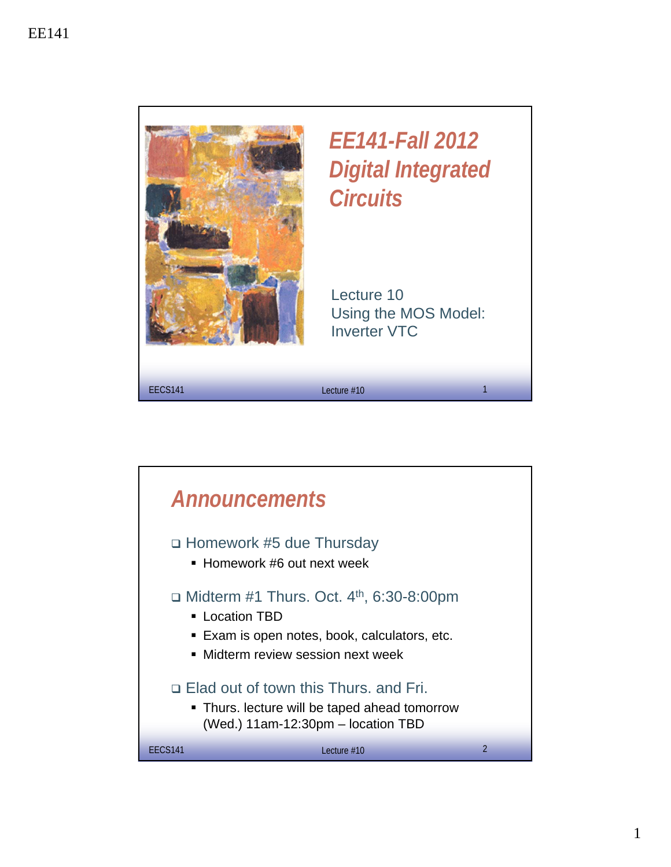

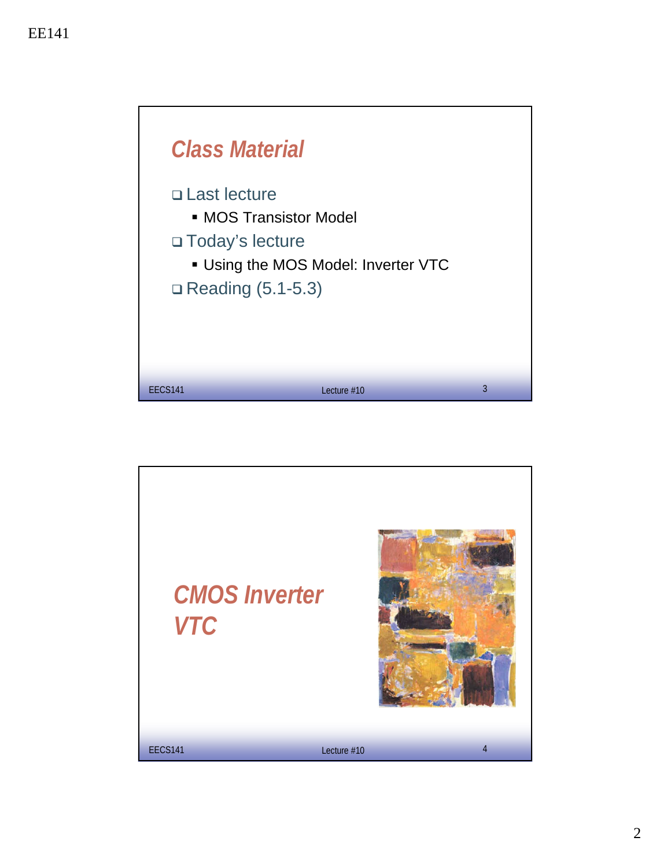

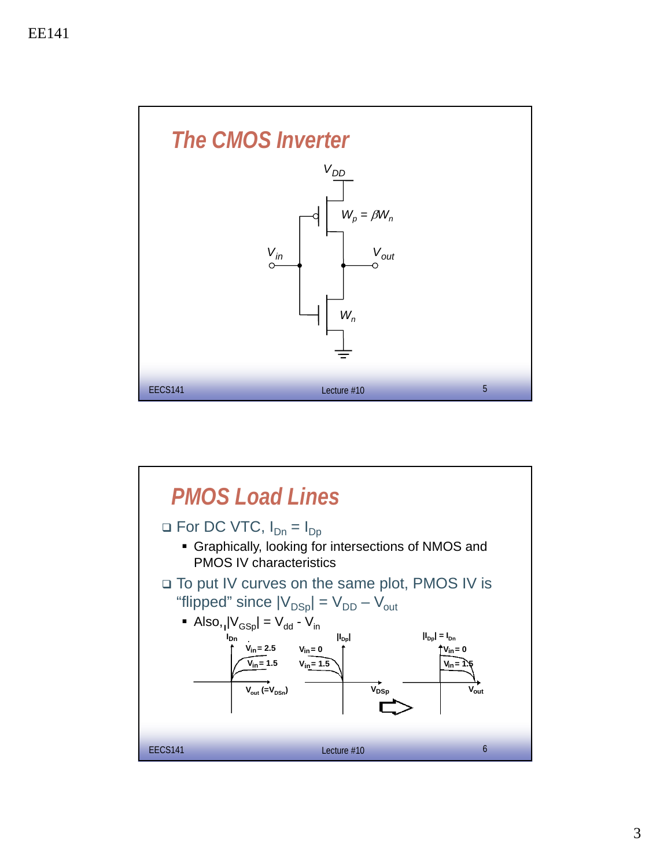

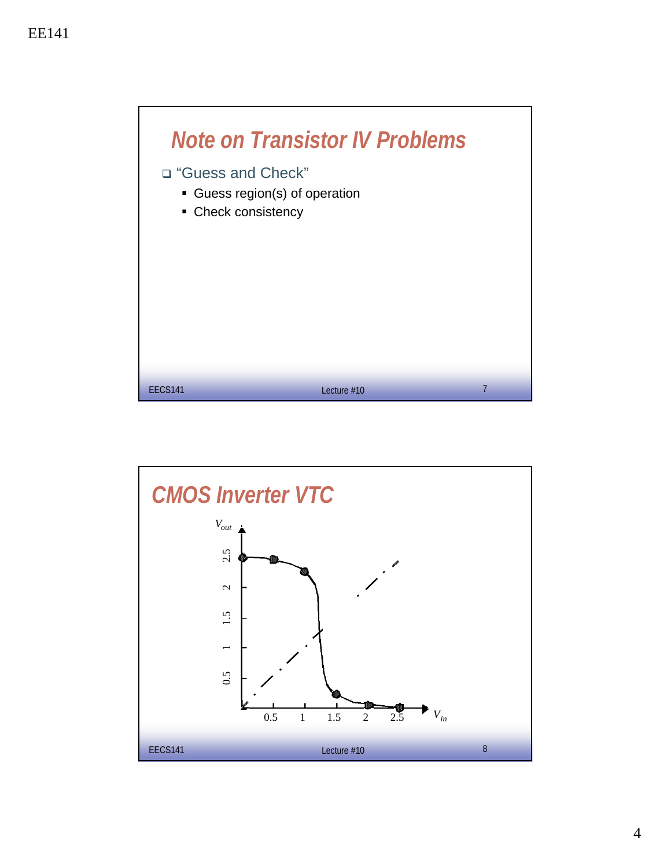

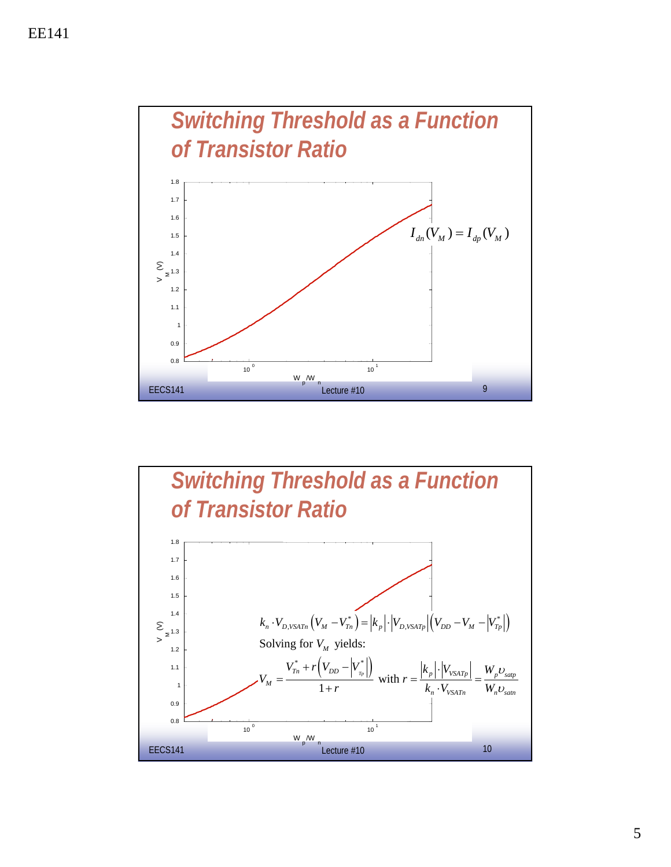

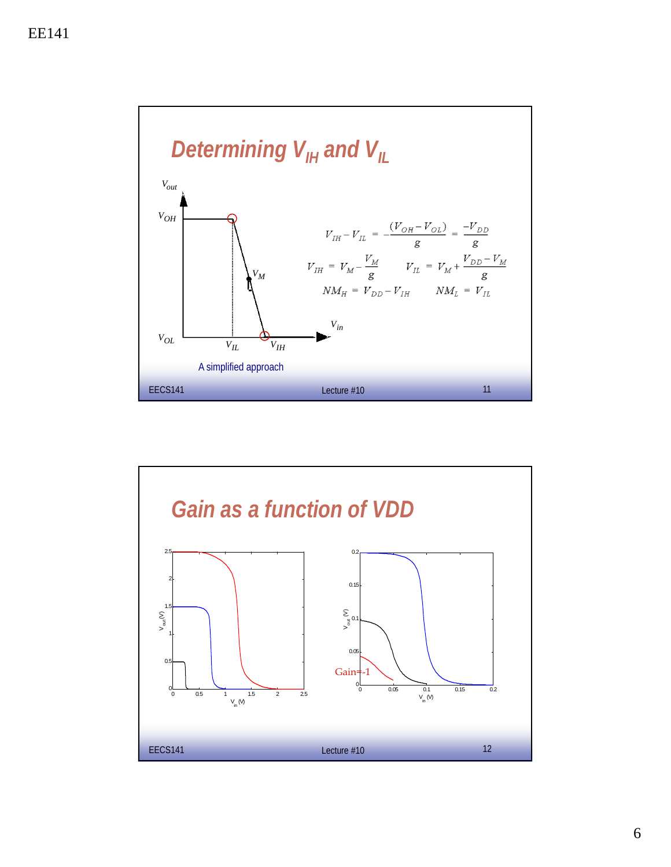

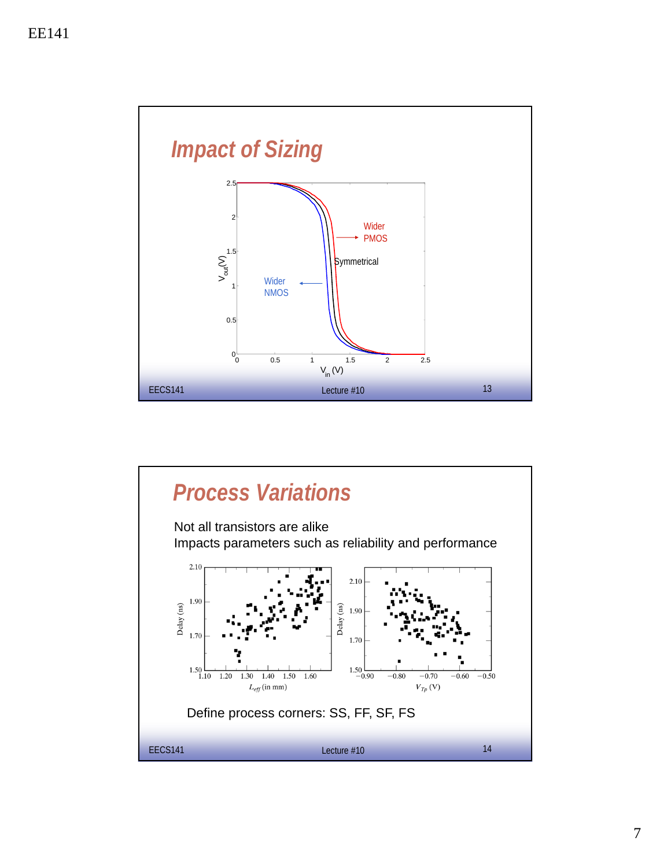